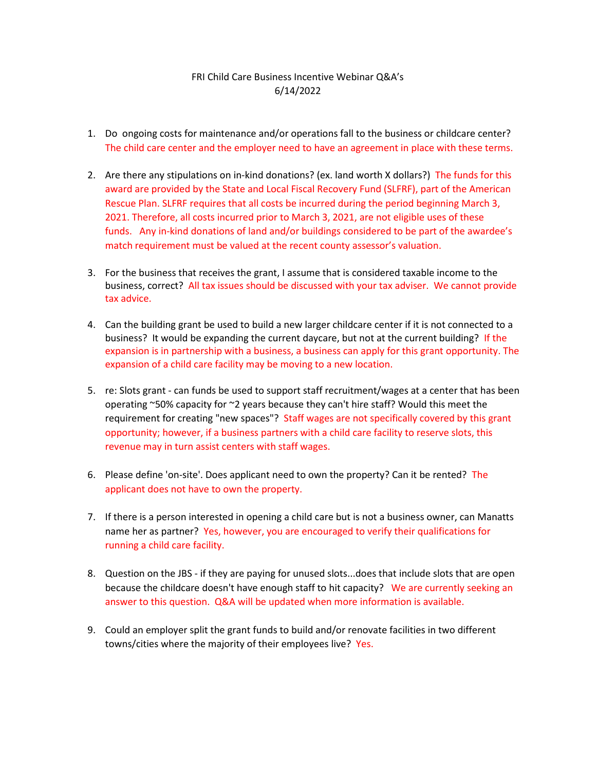## FRI Child Care Business Incentive Webinar Q&A's 6/14/2022

- 1. Do ongoing costs for maintenance and/or operations fall to the business or childcare center? The child care center and the employer need to have an agreement in place with these terms.
- 2. Are there any stipulations on in-kind donations? (ex. land worth X dollars?) The funds for this award are provided by the State and Local Fiscal Recovery Fund (SLFRF), part of the American Rescue Plan. SLFRF requires that all costs be incurred during the period beginning March 3, 2021. Therefore, all costs incurred prior to March 3, 2021, are not eligible uses of these funds. Any in-kind donations of land and/or buildings considered to be part of the awardee's match requirement must be valued at the recent county assessor's valuation.
- 3. For the business that receives the grant, I assume that is considered taxable income to the business, correct? All tax issues should be discussed with your tax adviser. We cannot provide tax advice.
- 4. Can the building grant be used to build a new larger childcare center if it is not connected to a business? It would be expanding the current daycare, but not at the current building? If the expansion is in partnership with a business, a business can apply for this grant opportunity. The expansion of a child care facility may be moving to a new location.
- 5. re: Slots grant can funds be used to support staff recruitment/wages at a center that has been operating ~50% capacity for ~2 years because they can't hire staff? Would this meet the requirement for creating "new spaces"? Staff wages are not specifically covered by this grant opportunity; however, if a business partners with a child care facility to reserve slots, this revenue may in turn assist centers with staff wages.
- 6. Please define 'on-site'. Does applicant need to own the property? Can it be rented? The applicant does not have to own the property.
- 7. If there is a person interested in opening a child care but is not a business owner, can Manatts name her as partner? Yes, however, you are encouraged to verify their qualifications for running a child care facility.
- 8. Question on the JBS if they are paying for unused slots...does that include slots that are open because the childcare doesn't have enough staff to hit capacity? We are currently seeking an answer to this question. Q&A will be updated when more information is available.
- 9. Could an employer split the grant funds to build and/or renovate facilities in two different towns/cities where the majority of their employees live? Yes.